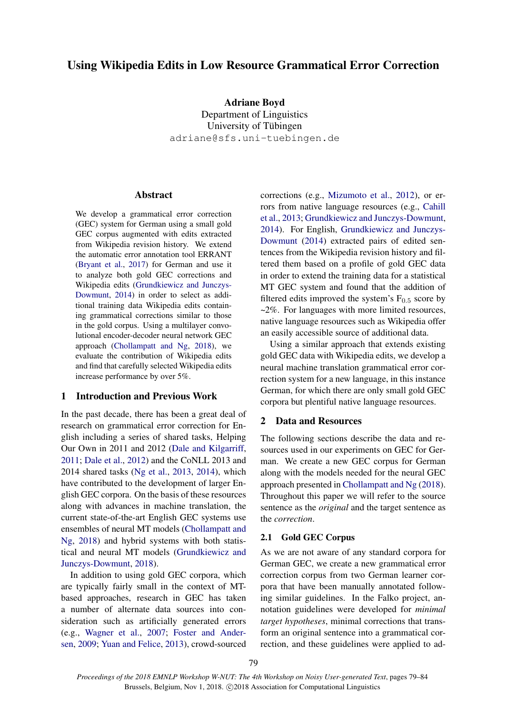# Using Wikipedia Edits in Low Resource Grammatical Error Correction

Adriane Boyd

Department of Linguistics University of Tübingen adriane@sfs.uni-tuebingen.de

# Abstract

We develop a grammatical error correction (GEC) system for German using a small gold GEC corpus augmented with edits extracted from Wikipedia revision history. We extend the automatic error annotation tool ERRANT [\(Bryant et al.,](#page-4-0) [2017\)](#page-4-0) for German and use it to analyze both gold GEC corrections and Wikipedia edits [\(Grundkiewicz and Junczys-](#page-5-0)[Dowmunt,](#page-5-0) [2014\)](#page-5-0) in order to select as additional training data Wikipedia edits containing grammatical corrections similar to those in the gold corpus. Using a multilayer convolutional encoder-decoder neural network GEC approach [\(Chollampatt and Ng,](#page-5-1) [2018\)](#page-5-1), we evaluate the contribution of Wikipedia edits and find that carefully selected Wikipedia edits increase performance by over 5%.

# 1 Introduction and Previous Work

In the past decade, there has been a great deal of research on grammatical error correction for English including a series of shared tasks, Helping Our Own in 2011 and 2012 [\(Dale and Kilgarriff,](#page-5-2) [2011;](#page-5-2) [Dale et al.,](#page-5-3) [2012\)](#page-5-3) and the CoNLL 2013 and 2014 shared tasks [\(Ng et al.,](#page-5-4) [2013,](#page-5-4) [2014\)](#page-5-5), which have contributed to the development of larger English GEC corpora. On the basis of these resources along with advances in machine translation, the current state-of-the-art English GEC systems use ensembles of neural MT models [\(Chollampatt and](#page-5-1) [Ng,](#page-5-1) [2018\)](#page-5-1) and hybrid systems with both statistical and neural MT models [\(Grundkiewicz and](#page-5-6) [Junczys-Dowmunt,](#page-5-6) [2018\)](#page-5-6).

In addition to using gold GEC corpora, which are typically fairly small in the context of MTbased approaches, research in GEC has taken a number of alternate data sources into consideration such as artificially generated errors (e.g., [Wagner et al.,](#page-5-7) [2007;](#page-5-7) [Foster and Ander](#page-5-8)[sen,](#page-5-8) [2009;](#page-5-8) [Yuan and Felice,](#page-5-9) [2013\)](#page-5-9), crowd-sourced

corrections (e.g., [Mizumoto et al.,](#page-5-10) [2012\)](#page-5-10), or errors from native language resources (e.g., [Cahill](#page-5-11) [et al.,](#page-5-11) [2013;](#page-5-11) [Grundkiewicz and Junczys-Dowmunt,](#page-5-0) [2014\)](#page-5-0). For English, [Grundkiewicz and Junczys-](#page-5-0)[Dowmunt](#page-5-0) [\(2014\)](#page-5-0) extracted pairs of edited sentences from the Wikipedia revision history and filtered them based on a profile of gold GEC data in order to extend the training data for a statistical MT GEC system and found that the addition of filtered edits improved the system's  $F_{0.5}$  score by ~2%. For languages with more limited resources, native language resources such as Wikipedia offer an easily accessible source of additional data.

Using a similar approach that extends existing gold GEC data with Wikipedia edits, we develop a neural machine translation grammatical error correction system for a new language, in this instance German, for which there are only small gold GEC corpora but plentiful native language resources.

# 2 Data and Resources

The following sections describe the data and resources used in our experiments on GEC for German. We create a new GEC corpus for German along with the models needed for the neural GEC approach presented in [Chollampatt and Ng](#page-5-1) [\(2018\)](#page-5-1). Throughout this paper we will refer to the source sentence as the *original* and the target sentence as the *correction*.

### 2.1 Gold GEC Corpus

As we are not aware of any standard corpora for German GEC, we create a new grammatical error correction corpus from two German learner corpora that have been manually annotated following similar guidelines. In the Falko project, annotation guidelines were developed for *minimal target hypotheses*, minimal corrections that transform an original sentence into a grammatical correction, and these guidelines were applied to ad-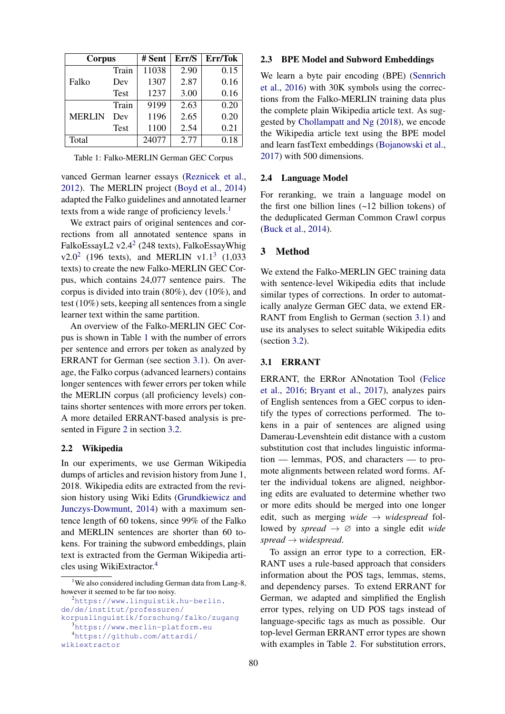| Corpus        |             | # Sent | Err/S | Err/Tok |  |
|---------------|-------------|--------|-------|---------|--|
|               | Train       | 11038  | 2.90  | 0.15    |  |
| Falko         | Dev         | 1307   | 2.87  | 0.16    |  |
|               | <b>Test</b> | 1237   | 3.00  | 0.16    |  |
| <b>MERLIN</b> | Train       | 9199   | 2.63  | 0.20    |  |
|               | Dev         | 1196   | 2.65  | 0.20    |  |
|               | Test        | 1100   | 2.54  | 0.21    |  |
| Total         |             | 24077  | 2.77  | 0.18    |  |

<span id="page-1-3"></span>Table 1: Falko-MERLIN German GEC Corpus

vanced German learner essays [\(Reznicek et al.,](#page-5-12) [2012\)](#page-5-12). The MERLIN project [\(Boyd et al.,](#page-4-1) [2014\)](#page-4-1) adapted the Falko guidelines and annotated learner texts from a wide range of proficiency levels.<sup>[1](#page-1-0)</sup>

We extract pairs of original sentences and corrections from all annotated sentence spans in FalkoEssayL[2](#page-1-1) v2.4<sup>2</sup> (248 texts), FalkoEssayWhig  $v2.0^2$  $v2.0^2$  $v2.0^2$  (196 texts), and MERLIN  $v1.1^3$  $v1.1^3$  (1,033 texts) to create the new Falko-MERLIN GEC Corpus, which contains 24,077 sentence pairs. The corpus is divided into train (80%), dev (10%), and test (10%) sets, keeping all sentences from a single learner text within the same partition.

An overview of the Falko-MERLIN GEC Corpus is shown in Table [1](#page-1-3) with the number of errors per sentence and errors per token as analyzed by ERRANT for German (see section [3.1\)](#page-1-4). On average, the Falko corpus (advanced learners) contains longer sentences with fewer errors per token while the MERLIN corpus (all proficiency levels) contains shorter sentences with more errors per token. A more detailed ERRANT-based analysis is presented in Figure [2](#page-3-0) in section [3.2.](#page-2-0)

### 2.2 Wikipedia

In our experiments, we use German Wikipedia dumps of articles and revision history from June 1, 2018. Wikipedia edits are extracted from the revision history using Wiki Edits [\(Grundkiewicz and](#page-5-0) [Junczys-Dowmunt,](#page-5-0) [2014\)](#page-5-0) with a maximum sentence length of 60 tokens, since 99% of the Falko and MERLIN sentences are shorter than 60 tokens. For training the subword embeddings, plain text is extracted from the German Wikipedia articles using WikiExtractor.[4](#page-1-5)

### 2.3 BPE Model and Subword Embeddings

We learn a byte pair encoding (BPE) [\(Sennrich](#page-5-13) [et al.,](#page-5-13) [2016\)](#page-5-13) with 30K symbols using the corrections from the Falko-MERLIN training data plus the complete plain Wikipedia article text. As suggested by [Chollampatt and Ng](#page-5-1) [\(2018\)](#page-5-1), we encode the Wikipedia article text using the BPE model and learn fastText embeddings [\(Bojanowski et al.,](#page-4-2) [2017\)](#page-4-2) with 500 dimensions.

#### 2.4 Language Model

For reranking, we train a language model on the first one billion lines (~12 billion tokens) of the deduplicated German Common Crawl corpus [\(Buck et al.,](#page-4-3) [2014\)](#page-4-3).

#### 3 Method

We extend the Falko-MERLIN GEC training data with sentence-level Wikipedia edits that include similar types of corrections. In order to automatically analyze German GEC data, we extend ER-RANT from English to German (section [3.1\)](#page-1-4) and use its analyses to select suitable Wikipedia edits (section [3.2\)](#page-2-0).

### <span id="page-1-4"></span>3.1 ERRANT

ERRANT, the ERRor ANnotation Tool [\(Felice](#page-5-14) [et al.,](#page-5-14) [2016;](#page-5-14) [Bryant et al.,](#page-4-0) [2017\)](#page-4-0), analyzes pairs of English sentences from a GEC corpus to identify the types of corrections performed. The tokens in a pair of sentences are aligned using Damerau-Levenshtein edit distance with a custom substitution cost that includes linguistic information — lemmas, POS, and characters — to promote alignments between related word forms. After the individual tokens are aligned, neighboring edits are evaluated to determine whether two or more edits should be merged into one longer edit, such as merging *wide* → *widespread* followed by *spread*  $\rightarrow \emptyset$  into a single edit *wide spread* → *widespread*.

To assign an error type to a correction, ER-RANT uses a rule-based approach that considers information about the POS tags, lemmas, stems, and dependency parses. To extend ERRANT for German, we adapted and simplified the English error types, relying on UD POS tags instead of language-specific tags as much as possible. Our top-level German ERRANT error types are shown with examples in Table [2.](#page-2-1) For substitution errors,

<span id="page-1-0"></span><sup>&</sup>lt;sup>1</sup>We also considered including German data from Lang-8, however it seemed to be far too noisy.

<span id="page-1-5"></span><span id="page-1-2"></span><span id="page-1-1"></span><sup>2</sup>[https://www.linguistik.hu-berlin.](https://www.linguistik.hu-berlin.de/de/institut/professuren/korpuslinguistik/forschung/falko/zugang) [de/de/institut/professuren/](https://www.linguistik.hu-berlin.de/de/institut/professuren/korpuslinguistik/forschung/falko/zugang) [korpuslinguistik/forschung/falko/zugang](https://www.linguistik.hu-berlin.de/de/institut/professuren/korpuslinguistik/forschung/falko/zugang) <sup>3</sup><https://www.merlin-platform.eu> <sup>4</sup>[https://github.com/attardi/](https://github.com/attardi/wikiextractor) [wikiextractor](https://github.com/attardi/wikiextractor)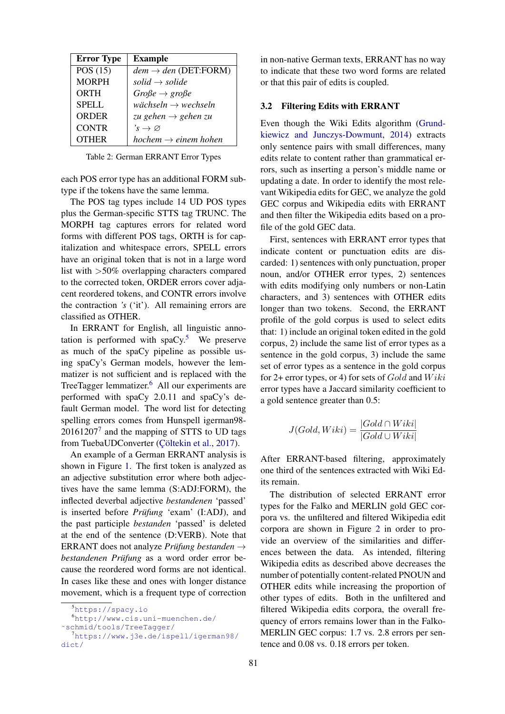| <b>Error Type</b> | <b>Example</b>                      |
|-------------------|-------------------------------------|
| POS $(15)$        | $dem \rightarrow den(DET:FORM)$     |
| <b>MORPH</b>      | solid $\rightarrow$ solide          |
| ORTH              | $Gro\beta e \rightarrow gro\beta e$ |
| <b>SPELL</b>      | wächseln $\rightarrow$ wechseln     |
| <b>ORDER</b>      | zu gehen $\rightarrow$ gehen zu     |
| <b>CONTR</b>      | $s \to \varnothing$                 |
| <b>OTHER</b>      | hochem $\rightarrow$ einem hohen    |

<span id="page-2-1"></span>Table 2: German ERRANT Error Types

each POS error type has an additional FORM subtype if the tokens have the same lemma.

The POS tag types include 14 UD POS types plus the German-specific STTS tag TRUNC. The MORPH tag captures errors for related word forms with different POS tags, ORTH is for capitalization and whitespace errors, SPELL errors have an original token that is not in a large word list with >50% overlapping characters compared to the corrected token, ORDER errors cover adjacent reordered tokens, and CONTR errors involve the contraction *'s* ('it'). All remaining errors are classified as OTHER.

In ERRANT for English, all linguistic annotation is performed with  $spaCy$ <sup>[5](#page-2-2)</sup>. We preserve as much of the spaCy pipeline as possible using spaCy's German models, however the lemmatizer is not sufficient and is replaced with the TreeTagger lemmatizer.<sup>[6](#page-2-3)</sup> All our experiments are performed with spaCy 2.0.11 and spaCy's default German model. The word list for detecting spelling errors comes from Hunspell igerman98-  $20161207<sup>7</sup>$  $20161207<sup>7</sup>$  $20161207<sup>7</sup>$  and the mapping of STTS to UD tags from TuebaUDConverter (Çöltekin et al., [2017\)](#page-5-15).

An example of a German ERRANT analysis is shown in Figure [1.](#page-3-1) The first token is analyzed as an adjective substitution error where both adjectives have the same lemma (S:ADJ:FORM), the inflected deverbal adjective *bestandenen* 'passed' is inserted before *Prüfung* 'exam' (I:ADJ), and the past participle *bestanden* 'passed' is deleted at the end of the sentence (D:VERB). Note that ERRANT does not analyze *Prüfung bestanden*  $\rightarrow$ *bestandenen Prüfung* as a word order error because the reordered word forms are not identical. In cases like these and ones with longer distance movement, which is a frequent type of correction in non-native German texts, ERRANT has no way to indicate that these two word forms are related or that this pair of edits is coupled.

# <span id="page-2-0"></span>3.2 Filtering Edits with ERRANT

Even though the Wiki Edits algorithm [\(Grund](#page-5-0)[kiewicz and Junczys-Dowmunt,](#page-5-0) [2014\)](#page-5-0) extracts only sentence pairs with small differences, many edits relate to content rather than grammatical errors, such as inserting a person's middle name or updating a date. In order to identify the most relevant Wikipedia edits for GEC, we analyze the gold GEC corpus and Wikipedia edits with ERRANT and then filter the Wikipedia edits based on a profile of the gold GEC data.

First, sentences with ERRANT error types that indicate content or punctuation edits are discarded: 1) sentences with only punctuation, proper noun, and/or OTHER error types, 2) sentences with edits modifying only numbers or non-Latin characters, and 3) sentences with OTHER edits longer than two tokens. Second, the ERRANT profile of the gold corpus is used to select edits that: 1) include an original token edited in the gold corpus, 2) include the same list of error types as a sentence in the gold corpus, 3) include the same set of error types as a sentence in the gold corpus for 2+ error types, or 4) for sets of  $Gold$  and  $Wiki$ error types have a Jaccard similarity coefficient to a gold sentence greater than 0.5:

$$
J(Gold, Wiki) = \frac{|Gold \cap Wiki|}{|Gold \cup Wiki|}
$$

After ERRANT-based filtering, approximately one third of the sentences extracted with Wiki Edits remain.

The distribution of selected ERRANT error types for the Falko and MERLIN gold GEC corpora vs. the unfiltered and filtered Wikipedia edit corpora are shown in Figure [2](#page-3-0) in order to provide an overview of the similarities and differences between the data. As intended, filtering Wikipedia edits as described above decreases the number of potentially content-related PNOUN and OTHER edits while increasing the proportion of other types of edits. Both in the unfiltered and filtered Wikipedia edits corpora, the overall frequency of errors remains lower than in the Falko-MERLIN GEC corpus: 1.7 vs. 2.8 errors per sentence and 0.08 vs. 0.18 errors per token.

<span id="page-2-3"></span><span id="page-2-2"></span><sup>5</sup><https://spacy.io>

<span id="page-2-4"></span><sup>6</sup>[http://www.cis.uni-muenchen.de/](http://www.cis.uni-muenchen.de/~schmid/tools/TreeTagger/) [˜schmid/tools/TreeTagger/](http://www.cis.uni-muenchen.de/~schmid/tools/TreeTagger/) <sup>7</sup>[https://www.j3e.de/ispell/igerman98/](https://www.j3e.de/ispell/igerman98/dict/) [dict/](https://www.j3e.de/ispell/igerman98/dict/)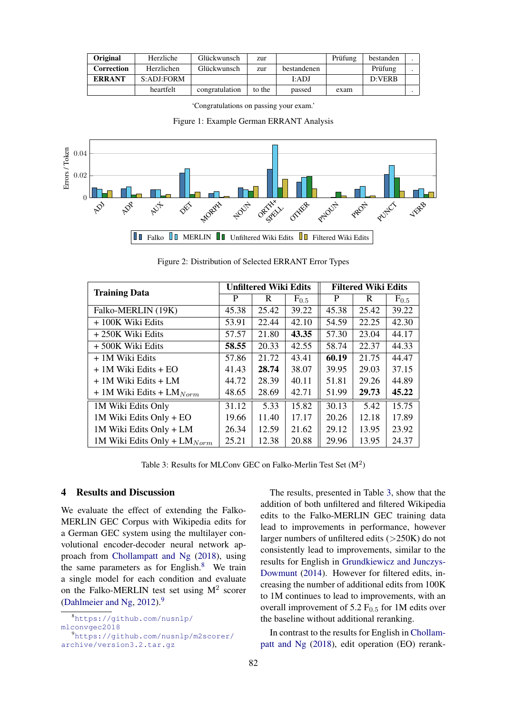| Original      | Herzliche  | Glückwunsch    | zur    |             | Prüfung | bestanden |  |
|---------------|------------|----------------|--------|-------------|---------|-----------|--|
| Correction    | Herzlichen | Glückwunsch    | zur    | bestandenen |         | Prüfung   |  |
| <b>ERRANT</b> | S:ADJ:FORM |                |        | I:ADJ       |         | D:VERB    |  |
|               | heartfelt  | congratulation | to the | passed      | exam    |           |  |

<span id="page-3-0"></span>'Congratulations on passing your exam.'



<span id="page-3-1"></span>

Figure 2: Distribution of Selected ERRANT Error Types

| <b>Training Data</b>             | <b>Unfiltered Wiki Edits</b> |       |           | <b>Filtered Wiki Edits</b> |       |           |
|----------------------------------|------------------------------|-------|-----------|----------------------------|-------|-----------|
|                                  | P                            | R     | $F_{0.5}$ | P                          | R     | $F_{0.5}$ |
| Falko-MERLIN (19K)               | 45.38                        | 25.42 | 39.22     | 45.38                      | 25.42 | 39.22     |
| + 100K Wiki Edits                | 53.91                        | 22.44 | 42.10     | 54.59                      | 22.25 | 42.30     |
| +250K Wiki Edits                 | 57.57                        | 21.80 | 43.35     | 57.30                      | 23.04 | 44.17     |
| +500K Wiki Edits                 | 58.55                        | 20.33 | 42.55     | 58.74                      | 22.37 | 44.33     |
| + 1M Wiki Edits                  | 57.86                        | 21.72 | 43.41     | 60.19                      | 21.75 | 44.47     |
| + 1M Wiki Edits + EO             | 41.43                        | 28.74 | 38.07     | 39.95                      | 29.03 | 37.15     |
| $+1M$ Wiki Edits $+LM$           | 44.72                        | 28.39 | 40.11     | 51.81                      | 29.26 | 44.89     |
| $+1$ M Wiki Edits + LM $_{Norm}$ | 48.65                        | 28.69 | 42.71     | 51.99                      | 29.73 | 45.22     |
| 1M Wiki Edits Only               | 31.12                        | 5.33  | 15.82     | 30.13                      | 5.42  | 15.75     |
| 1M Wiki Edits Only + EO          | 19.66                        | 11.40 | 17.17     | 20.26                      | 12.18 | 17.89     |
| 1M Wiki Edits Only + LM          | 26.34                        | 12.59 | 21.62     | 29.12                      | 13.95 | 23.92     |
| 1M Wiki Edits Only + $LM_{Norm}$ | 25.21                        | 12.38 | 20.88     | 29.96                      | 13.95 | 24.37     |

Table 3: Results for MLConv GEC on Falko-Merlin Test Set  $(M^2)$ 

# <span id="page-3-4"></span>4 Results and Discussion

We evaluate the effect of extending the Falko-MERLIN GEC Corpus with Wikipedia edits for a German GEC system using the multilayer convolutional encoder-decoder neural network approach from [Chollampatt and Ng](#page-5-1) [\(2018\)](#page-5-1), using the same parameters as for English. $8$  We train a single model for each condition and evaluate on the Falko-MERLIN test set using  $M^2$  scorer [\(Dahlmeier and Ng,](#page-5-16) [2012\)](#page-5-16).[9](#page-3-3)

<span id="page-3-2"></span><sup>8</sup>[https://github.com/nusnlp/](https://github.com/nusnlp/mlconvgec2018)

The results, presented in Table [3,](#page-3-4) show that the addition of both unfiltered and filtered Wikipedia edits to the Falko-MERLIN GEC training data lead to improvements in performance, however larger numbers of unfiltered edits  $(>250K)$  do not consistently lead to improvements, similar to the results for English in [Grundkiewicz and Junczys-](#page-5-0)[Dowmunt](#page-5-0) [\(2014\)](#page-5-0). However for filtered edits, increasing the number of additional edits from 100K to 1M continues to lead to improvements, with an overall improvement of 5.2  $F<sub>0.5</sub>$  for 1M edits over the baseline without additional reranking.

In contrast to the results for English in [Chollam](#page-5-1)[patt and Ng](#page-5-1) [\(2018\)](#page-5-1), edit operation (EO) rerank-

[mlconvgec2018](https://github.com/nusnlp/mlconvgec2018)

<span id="page-3-3"></span><sup>9</sup>[https://github.com/nusnlp/m2scorer/](https://github.com/nusnlp/m2scorer/archive/version3.2.tar.gz) [archive/version3.2.tar.gz](https://github.com/nusnlp/m2scorer/archive/version3.2.tar.gz)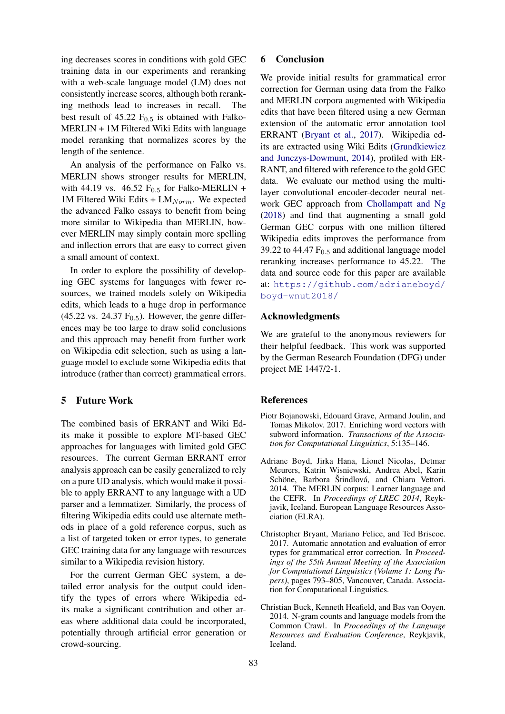ing decreases scores in conditions with gold GEC training data in our experiments and reranking with a web-scale language model (LM) does not consistently increase scores, although both reranking methods lead to increases in recall. The best result of 45.22  $F_{0.5}$  is obtained with Falko-MERLIN + 1M Filtered Wiki Edits with language model reranking that normalizes scores by the length of the sentence.

An analysis of the performance on Falko vs. MERLIN shows stronger results for MERLIN, with 44.19 vs. 46.52  $F_{0.5}$  for Falko-MERLIN + 1M Filtered Wiki Edits +  $LM_{Norm}$ . We expected the advanced Falko essays to benefit from being more similar to Wikipedia than MERLIN, however MERLIN may simply contain more spelling and inflection errors that are easy to correct given a small amount of context.

In order to explore the possibility of developing GEC systems for languages with fewer resources, we trained models solely on Wikipedia edits, which leads to a huge drop in performance  $(45.22 \text{ vs. } 24.37 \text{ F}_{0.5})$ . However, the genre differences may be too large to draw solid conclusions and this approach may benefit from further work on Wikipedia edit selection, such as using a language model to exclude some Wikipedia edits that introduce (rather than correct) grammatical errors.

# 5 Future Work

The combined basis of ERRANT and Wiki Edits make it possible to explore MT-based GEC approaches for languages with limited gold GEC resources. The current German ERRANT error analysis approach can be easily generalized to rely on a pure UD analysis, which would make it possible to apply ERRANT to any language with a UD parser and a lemmatizer. Similarly, the process of filtering Wikipedia edits could use alternate methods in place of a gold reference corpus, such as a list of targeted token or error types, to generate GEC training data for any language with resources similar to a Wikipedia revision history.

For the current German GEC system, a detailed error analysis for the output could identify the types of errors where Wikipedia edits make a significant contribution and other areas where additional data could be incorporated, potentially through artificial error generation or crowd-sourcing.

# 6 Conclusion

We provide initial results for grammatical error correction for German using data from the Falko and MERLIN corpora augmented with Wikipedia edits that have been filtered using a new German extension of the automatic error annotation tool ERRANT [\(Bryant et al.,](#page-4-0) [2017\)](#page-4-0). Wikipedia edits are extracted using Wiki Edits [\(Grundkiewicz](#page-5-0) [and Junczys-Dowmunt,](#page-5-0) [2014\)](#page-5-0), profiled with ER-RANT, and filtered with reference to the gold GEC data. We evaluate our method using the multilayer convolutional encoder-decoder neural network GEC approach from [Chollampatt and Ng](#page-5-1) [\(2018\)](#page-5-1) and find that augmenting a small gold German GEC corpus with one million filtered Wikipedia edits improves the performance from 39.22 to 44.47  $F<sub>0.5</sub>$  and additional language model reranking increases performance to 45.22. The data and source code for this paper are available at: [https://github.com/adrianeboyd/](https://github.com/adrianeboyd/boyd-wnut2018/) [boyd-wnut2018/](https://github.com/adrianeboyd/boyd-wnut2018/)

### Acknowledgments

We are grateful to the anonymous reviewers for their helpful feedback. This work was supported by the German Research Foundation (DFG) under project ME 1447/2-1.

## **References**

- <span id="page-4-2"></span>Piotr Bojanowski, Edouard Grave, Armand Joulin, and Tomas Mikolov. 2017. Enriching word vectors with subword information. *Transactions of the Association for Computational Linguistics*, 5:135–146.
- <span id="page-4-1"></span>Adriane Boyd, Jirka Hana, Lionel Nicolas, Detmar Meurers, Katrin Wisniewski, Andrea Abel, Karin Schöne, Barbora Štindlová, and Chiara Vettori. 2014. The MERLIN corpus: Learner language and the CEFR. In *Proceedings of LREC 2014*, Reykjavik, Iceland. European Language Resources Association (ELRA).
- <span id="page-4-0"></span>Christopher Bryant, Mariano Felice, and Ted Briscoe. 2017. Automatic annotation and evaluation of error types for grammatical error correction. In *Proceedings of the 55th Annual Meeting of the Association for Computational Linguistics (Volume 1: Long Papers)*, pages 793–805, Vancouver, Canada. Association for Computational Linguistics.
- <span id="page-4-3"></span>Christian Buck, Kenneth Heafield, and Bas van Ooyen. 2014. N-gram counts and language models from the Common Crawl. In *Proceedings of the Language Resources and Evaluation Conference*, Reykjavik, Iceland.